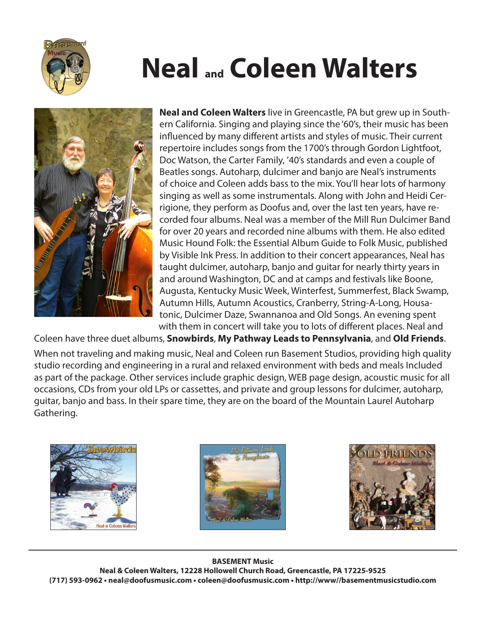

# **Neal and Coleen Walters**



**Neal and Coleen Walters** live in Greencastle, PA but grew up in Southern California. Singing and playing since the '60's, their music has been influenced by many different artists and styles of music. Their current repertoire includes songs from the 1700's through Gordon Lightfoot, Doc Watson, the Carter Family, '40's standards and even a couple of Beatles songs. Autoharp, dulcimer and banjo are Neal's instruments of choice and Coleen adds bass to the mix. You'll hear lots of harmony singing as well as some instrumentals. Along with John and Heidi Cerrigione, they perform as Doofus and, over the last ten years, have recorded four albums. Neal was a member of the Mill Run Dulcimer Band for over 20 years and recorded nine albums with them. He also edited Music Hound Folk: the Essential Album Guide to Folk Music, published by Visible Ink Press. In addition to their concert appearances, Neal has taught dulcimer, autoharp, banjo and guitar for nearly thirty years in and around Washington, DC and at camps and festivals like Boone, Augusta, Kentucky Music Week, Winterfest, Summerfest, Black Swamp, Autumn Hills, Autumn Acoustics, Cranberry, String-A-Long, Housatonic, Dulcimer Daze, Swannanoa and Old Songs. An evening spent with them in concert will take you to lots of different places. Neal and

Coleen have three duet albums, **Snowbirds**, **My Pathway Leads to Pennsylvania**, and **Old Friends**. When not traveling and making music, Neal and Coleen run Basement Studios, providing high quality studio recording and engineering in a rural and relaxed environment with beds and meals Included as part of the package. Other services include graphic design, WEB page design, acoustic music for all occasions, CDs from your old LPs or cassettes, and private and group lessons for dulcimer, autoharp, guitar, banjo and bass. In their spare time, they are on the board of the Mountain Laurel Autoharp Gathering.







#### **BASEMENT Music Neal & Coleen Walters, 12228 Hollowell Church Road, Greencastle, PA 17225-9525 (717) 593-0962 • neal@doofusmusic.com • coleen@doofusmusic.com • http://www//basementmusicstudio.com**